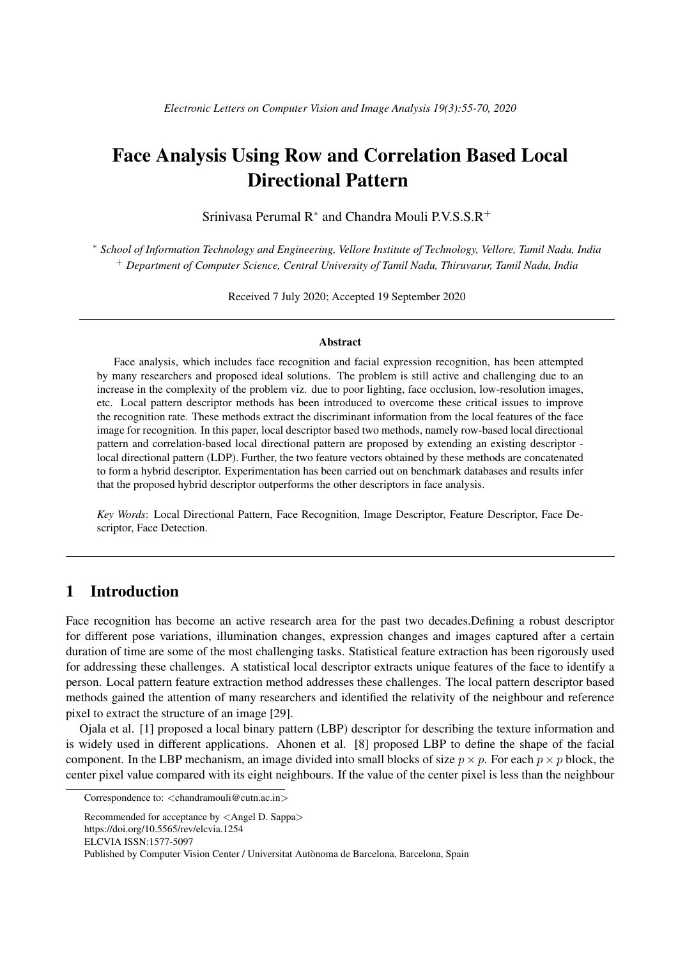# Face Analysis Using Row and Correlation Based Local Directional Pattern

Srinivasa Perumal R<sup>\*</sup> and Chandra Mouli P.V.S.S.R<sup>+</sup>

<sup>∗</sup> *School of Information Technology and Engineering, Vellore Institute of Technology, Vellore, Tamil Nadu, India* <sup>+</sup> *Department of Computer Science, Central University of Tamil Nadu, Thiruvarur, Tamil Nadu, India*

Received 7 July 2020; Accepted 19 September 2020

#### Abstract

Face analysis, which includes face recognition and facial expression recognition, has been attempted by many researchers and proposed ideal solutions. The problem is still active and challenging due to an increase in the complexity of the problem viz. due to poor lighting, face occlusion, low-resolution images, etc. Local pattern descriptor methods has been introduced to overcome these critical issues to improve the recognition rate. These methods extract the discriminant information from the local features of the face image for recognition. In this paper, local descriptor based two methods, namely row-based local directional pattern and correlation-based local directional pattern are proposed by extending an existing descriptor local directional pattern (LDP). Further, the two feature vectors obtained by these methods are concatenated to form a hybrid descriptor. Experimentation has been carried out on benchmark databases and results infer that the proposed hybrid descriptor outperforms the other descriptors in face analysis.

*Key Words*: Local Directional Pattern, Face Recognition, Image Descriptor, Feature Descriptor, Face Descriptor, Face Detection.

## 1 Introduction

Face recognition has become an active research area for the past two decades.Defining a robust descriptor for different pose variations, illumination changes, expression changes and images captured after a certain duration of time are some of the most challenging tasks. Statistical feature extraction has been rigorously used for addressing these challenges. A statistical local descriptor extracts unique features of the face to identify a person. Local pattern feature extraction method addresses these challenges. The local pattern descriptor based methods gained the attention of many researchers and identified the relativity of the neighbour and reference pixel to extract the structure of an image [29].

Ojala et al. [1] proposed a local binary pattern (LBP) descriptor for describing the texture information and is widely used in different applications. Ahonen et al. [8] proposed LBP to define the shape of the facial component. In the LBP mechanism, an image divided into small blocks of size  $p \times p$ . For each  $p \times p$  block, the center pixel value compared with its eight neighbours. If the value of the center pixel is less than the neighbour

Recommended for acceptance by <Angel D. Sappa> https://doi.org/10.5565/rev/elcvia.1254 ELCVIA ISSN:1577-5097 Published by Computer Vision Center / Universitat Autònoma de Barcelona, Barcelona, Spain

Correspondence to: <chandramouli@cutn.ac.in>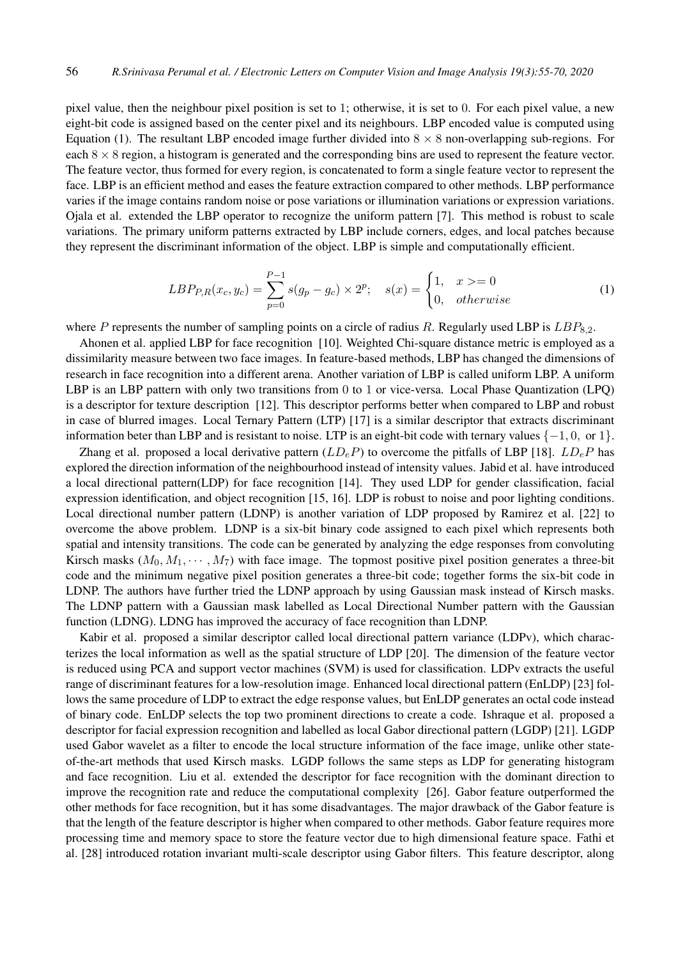pixel value, then the neighbour pixel position is set to 1; otherwise, it is set to 0. For each pixel value, a new eight-bit code is assigned based on the center pixel and its neighbours. LBP encoded value is computed using Equation (1). The resultant LBP encoded image further divided into  $8 \times 8$  non-overlapping sub-regions. For each  $8 \times 8$  region, a histogram is generated and the corresponding bins are used to represent the feature vector. The feature vector, thus formed for every region, is concatenated to form a single feature vector to represent the face. LBP is an efficient method and eases the feature extraction compared to other methods. LBP performance varies if the image contains random noise or pose variations or illumination variations or expression variations. Ojala et al. extended the LBP operator to recognize the uniform pattern [7]. This method is robust to scale variations. The primary uniform patterns extracted by LBP include corners, edges, and local patches because they represent the discriminant information of the object. LBP is simple and computationally efficient.

$$
LBP_{P,R}(x_c, y_c) = \sum_{p=0}^{P-1} s(g_p - g_c) \times 2^p; \quad s(x) = \begin{cases} 1, & x > = 0\\ 0, & otherwise \end{cases}
$$
 (1)

where P represents the number of sampling points on a circle of radius R. Regularly used LBP is  $LBP_{8,2}$ .

Ahonen et al. applied LBP for face recognition [10]. Weighted Chi-square distance metric is employed as a dissimilarity measure between two face images. In feature-based methods, LBP has changed the dimensions of research in face recognition into a different arena. Another variation of LBP is called uniform LBP. A uniform LBP is an LBP pattern with only two transitions from 0 to 1 or vice-versa. Local Phase Quantization (LPQ) is a descriptor for texture description [12]. This descriptor performs better when compared to LBP and robust in case of blurred images. Local Ternary Pattern (LTP) [17] is a similar descriptor that extracts discriminant information beter than LBP and is resistant to noise. LTP is an eight-bit code with ternary values  $\{-1, 0, \text{ or } 1\}$ .

Zhang et al. proposed a local derivative pattern  $(LD<sub>e</sub>P)$  to overcome the pitfalls of LBP [18].  $LD<sub>e</sub>P$  has explored the direction information of the neighbourhood instead of intensity values. Jabid et al. have introduced a local directional pattern(LDP) for face recognition [14]. They used LDP for gender classification, facial expression identification, and object recognition [15, 16]. LDP is robust to noise and poor lighting conditions. Local directional number pattern (LDNP) is another variation of LDP proposed by Ramirez et al. [22] to overcome the above problem. LDNP is a six-bit binary code assigned to each pixel which represents both spatial and intensity transitions. The code can be generated by analyzing the edge responses from convoluting Kirsch masks  $(M_0, M_1, \dots, M_7)$  with face image. The topmost positive pixel position generates a three-bit code and the minimum negative pixel position generates a three-bit code; together forms the six-bit code in LDNP. The authors have further tried the LDNP approach by using Gaussian mask instead of Kirsch masks. The LDNP pattern with a Gaussian mask labelled as Local Directional Number pattern with the Gaussian function (LDNG). LDNG has improved the accuracy of face recognition than LDNP.

Kabir et al. proposed a similar descriptor called local directional pattern variance (LDPv), which characterizes the local information as well as the spatial structure of LDP [20]. The dimension of the feature vector is reduced using PCA and support vector machines (SVM) is used for classification. LDPv extracts the useful range of discriminant features for a low-resolution image. Enhanced local directional pattern (EnLDP) [23] follows the same procedure of LDP to extract the edge response values, but EnLDP generates an octal code instead of binary code. EnLDP selects the top two prominent directions to create a code. Ishraque et al. proposed a descriptor for facial expression recognition and labelled as local Gabor directional pattern (LGDP) [21]. LGDP used Gabor wavelet as a filter to encode the local structure information of the face image, unlike other stateof-the-art methods that used Kirsch masks. LGDP follows the same steps as LDP for generating histogram and face recognition. Liu et al. extended the descriptor for face recognition with the dominant direction to improve the recognition rate and reduce the computational complexity [26]. Gabor feature outperformed the other methods for face recognition, but it has some disadvantages. The major drawback of the Gabor feature is that the length of the feature descriptor is higher when compared to other methods. Gabor feature requires more processing time and memory space to store the feature vector due to high dimensional feature space. Fathi et al. [28] introduced rotation invariant multi-scale descriptor using Gabor filters. This feature descriptor, along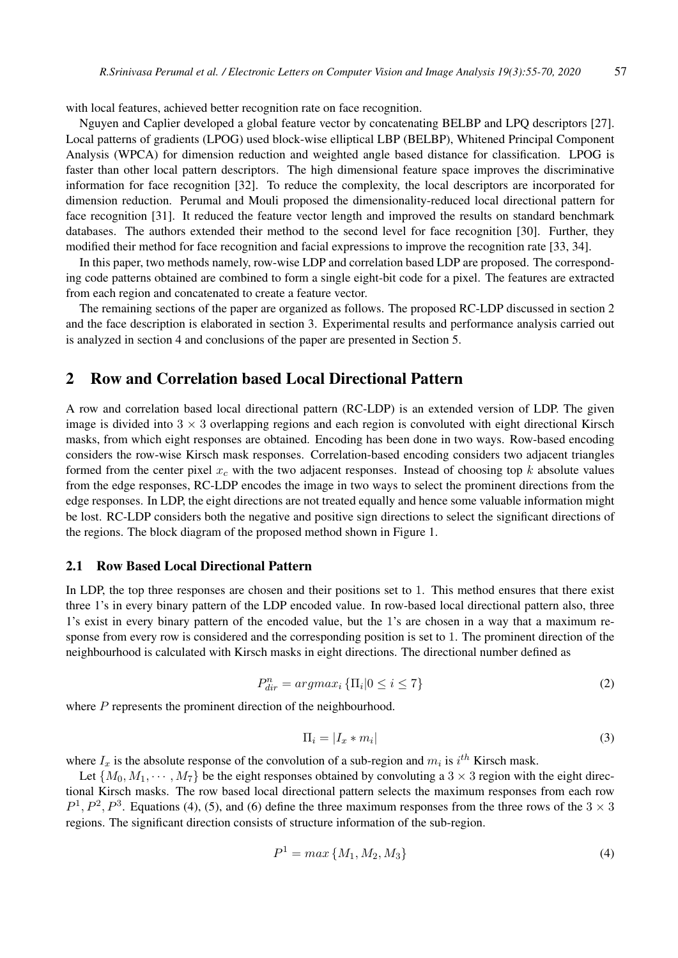with local features, achieved better recognition rate on face recognition.

Nguyen and Caplier developed a global feature vector by concatenating BELBP and LPQ descriptors [27]. Local patterns of gradients (LPOG) used block-wise elliptical LBP (BELBP), Whitened Principal Component Analysis (WPCA) for dimension reduction and weighted angle based distance for classification. LPOG is faster than other local pattern descriptors. The high dimensional feature space improves the discriminative information for face recognition [32]. To reduce the complexity, the local descriptors are incorporated for dimension reduction. Perumal and Mouli proposed the dimensionality-reduced local directional pattern for face recognition [31]. It reduced the feature vector length and improved the results on standard benchmark databases. The authors extended their method to the second level for face recognition [30]. Further, they modified their method for face recognition and facial expressions to improve the recognition rate [33, 34].

In this paper, two methods namely, row-wise LDP and correlation based LDP are proposed. The corresponding code patterns obtained are combined to form a single eight-bit code for a pixel. The features are extracted from each region and concatenated to create a feature vector.

The remaining sections of the paper are organized as follows. The proposed RC-LDP discussed in section 2 and the face description is elaborated in section 3. Experimental results and performance analysis carried out is analyzed in section 4 and conclusions of the paper are presented in Section 5.

## 2 Row and Correlation based Local Directional Pattern

A row and correlation based local directional pattern (RC-LDP) is an extended version of LDP. The given image is divided into  $3 \times 3$  overlapping regions and each region is convoluted with eight directional Kirsch masks, from which eight responses are obtained. Encoding has been done in two ways. Row-based encoding considers the row-wise Kirsch mask responses. Correlation-based encoding considers two adjacent triangles formed from the center pixel  $x_c$  with the two adjacent responses. Instead of choosing top k absolute values from the edge responses, RC-LDP encodes the image in two ways to select the prominent directions from the edge responses. In LDP, the eight directions are not treated equally and hence some valuable information might be lost. RC-LDP considers both the negative and positive sign directions to select the significant directions of the regions. The block diagram of the proposed method shown in Figure 1.

#### 2.1 Row Based Local Directional Pattern

In LDP, the top three responses are chosen and their positions set to 1. This method ensures that there exist three 1's in every binary pattern of the LDP encoded value. In row-based local directional pattern also, three 1's exist in every binary pattern of the encoded value, but the 1's are chosen in a way that a maximum response from every row is considered and the corresponding position is set to 1. The prominent direction of the neighbourhood is calculated with Kirsch masks in eight directions. The directional number defined as

$$
P_{dir}^n = argmax_i \{ \Pi_i | 0 \le i \le 7 \}
$$
\n<sup>(2)</sup>

where  $P$  represents the prominent direction of the neighbourhood.

$$
\Pi_i = |I_x * m_i| \tag{3}
$$

where  $I_x$  is the absolute response of the convolution of a sub-region and  $m_i$  is  $i^{th}$  Kirsch mask.

Let  $\{M_0, M_1, \cdots, M_7\}$  be the eight responses obtained by convoluting a 3  $\times$  3 region with the eight directional Kirsch masks. The row based local directional pattern selects the maximum responses from each row  $P^1, P^2, P^3$ . Equations (4), (5), and (6) define the three maximum responses from the three rows of the  $3 \times 3$ regions. The significant direction consists of structure information of the sub-region.

$$
P^1 = \max\{M_1, M_2, M_3\} \tag{4}
$$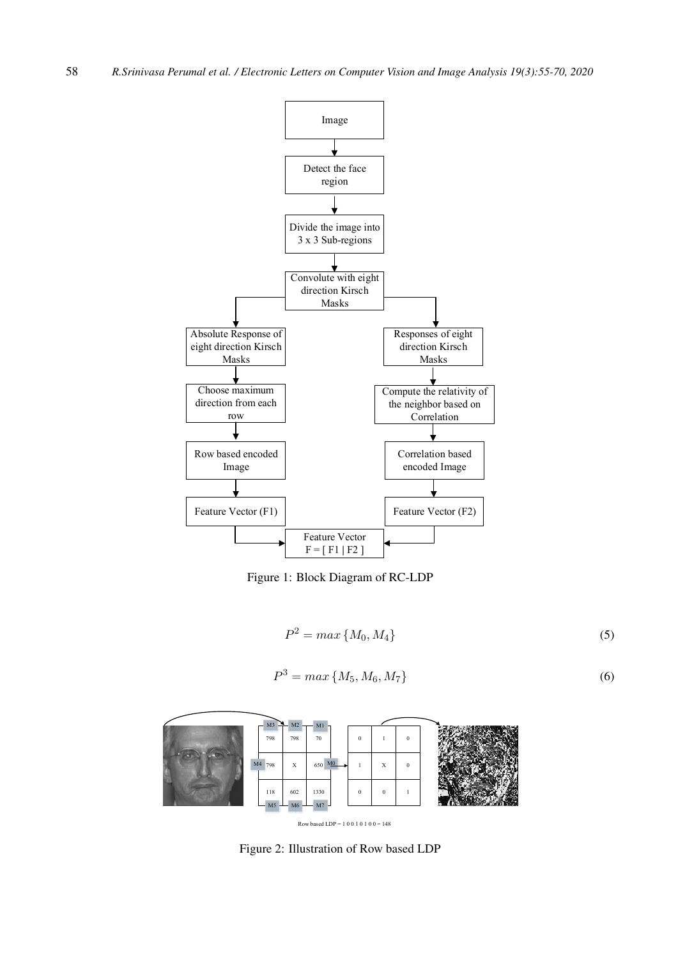

Figure 1: Block Diagram of RC-LDP

P

$$
P^2 = \max\{M_0, M_4\} \tag{5}
$$

$$
P^3 = \max\{M_5, M_6, M_7\} \tag{6}
$$



Figure 2: Illustration of Row based LDP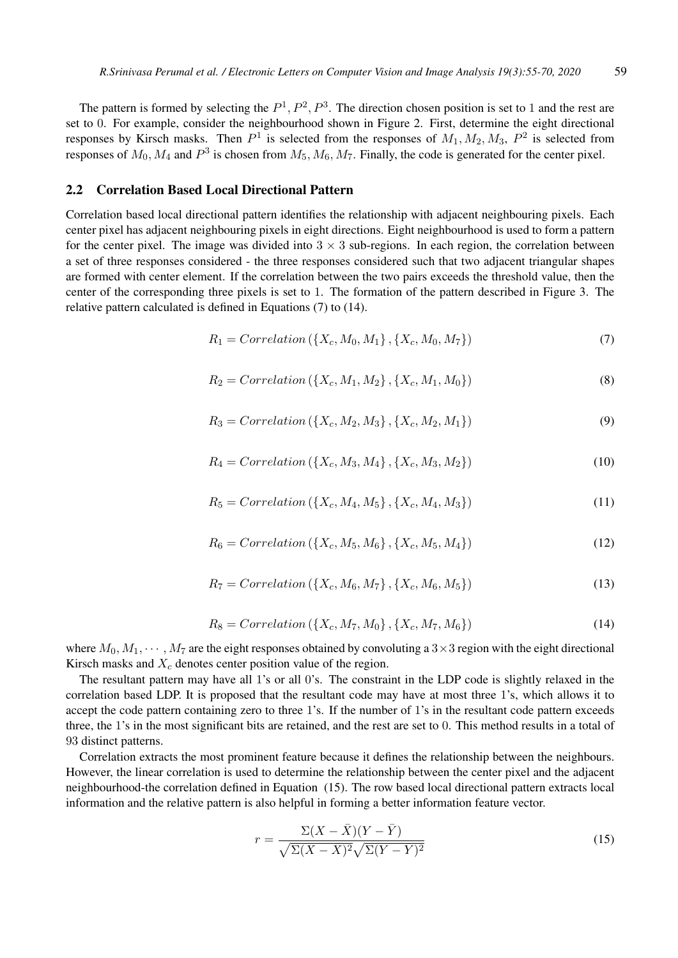The pattern is formed by selecting the  $P^1, P^2, P^3$ . The direction chosen position is set to 1 and the rest are set to 0. For example, consider the neighbourhood shown in Figure 2. First, determine the eight directional responses by Kirsch masks. Then  $P^1$  is selected from the responses of  $M_1, M_2, M_3, P^2$  is selected from responses of  $M_0$ ,  $M_4$  and  $P^3$  is chosen from  $M_5$ ,  $M_6$ ,  $M_7$ . Finally, the code is generated for the center pixel.

#### 2.2 Correlation Based Local Directional Pattern

Correlation based local directional pattern identifies the relationship with adjacent neighbouring pixels. Each center pixel has adjacent neighbouring pixels in eight directions. Eight neighbourhood is used to form a pattern for the center pixel. The image was divided into  $3 \times 3$  sub-regions. In each region, the correlation between a set of three responses considered - the three responses considered such that two adjacent triangular shapes are formed with center element. If the correlation between the two pairs exceeds the threshold value, then the center of the corresponding three pixels is set to 1. The formation of the pattern described in Figure 3. The relative pattern calculated is defined in Equations (7) to (14).

$$
R_1 = Correlation\left(\{X_c, M_0, M_1\}, \{X_c, M_0, M_7\}\right) \tag{7}
$$

$$
R_2 = Correlation (\{X_c, M_1, M_2\}, \{X_c, M_1, M_0\})
$$
\n(8)

$$
R_3 = Correlation (\{X_c, M_2, M_3\}, \{X_c, M_2, M_1\})
$$
\n(9)

$$
R_4 = Correlation (\{X_c, M_3, M_4\}, \{X_c, M_3, M_2\})
$$
\n(10)

$$
R_5 = Correlation (\{X_c, M_4, M_5\}, \{X_c, M_4, M_3\})
$$
\n(11)

$$
R_6 = Correlation\left(\{X_c, M_5, M_6\}, \{X_c, M_5, M_4\}\right) \tag{12}
$$

$$
R_7 = Correlation\left(\{X_c, M_6, M_7\}, \{X_c, M_6, M_5\}\right) \tag{13}
$$

$$
R_8 = Correlation (\{X_c, M_7, M_0\}, \{X_c, M_7, M_6\})
$$
\n(14)

where  $M_0, M_1, \cdots, M_7$  are the eight responses obtained by convoluting a  $3 \times 3$  region with the eight directional Kirsch masks and  $X_c$  denotes center position value of the region.

The resultant pattern may have all 1's or all 0's. The constraint in the LDP code is slightly relaxed in the correlation based LDP. It is proposed that the resultant code may have at most three 1's, which allows it to accept the code pattern containing zero to three 1's. If the number of 1's in the resultant code pattern exceeds three, the 1's in the most significant bits are retained, and the rest are set to 0. This method results in a total of 93 distinct patterns.

Correlation extracts the most prominent feature because it defines the relationship between the neighbours. However, the linear correlation is used to determine the relationship between the center pixel and the adjacent neighbourhood-the correlation defined in Equation (15). The row based local directional pattern extracts local information and the relative pattern is also helpful in forming a better information feature vector.

$$
r = \frac{\Sigma(X - \bar{X})(Y - \bar{Y})}{\sqrt{\Sigma(X - \bar{X})^2}\sqrt{\Sigma(Y - \bar{Y})^2}}
$$
(15)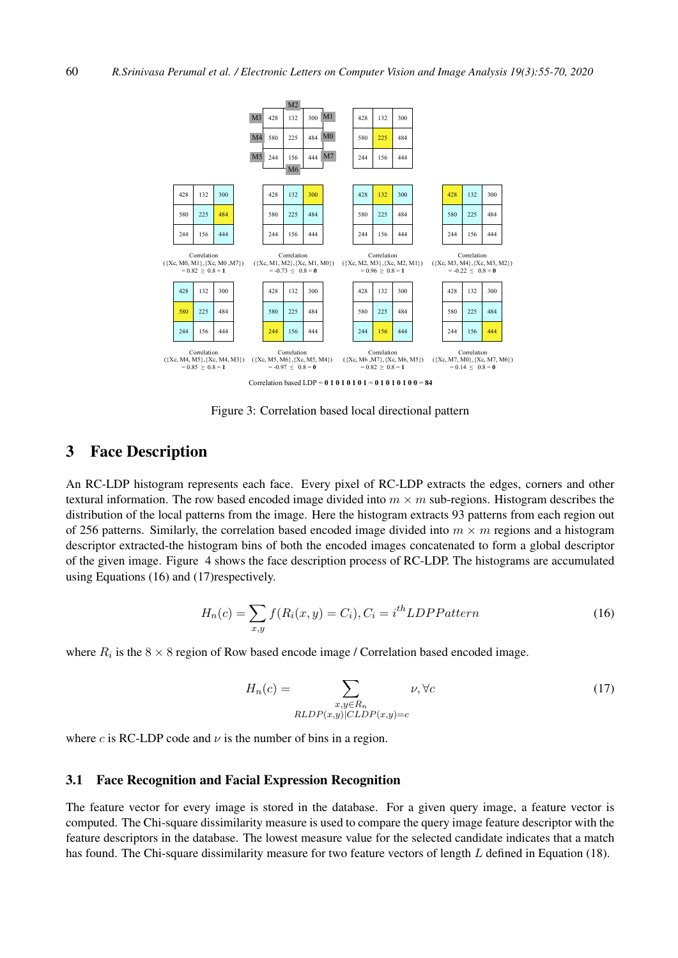

Figure 3: Correlation based local directional pattern

## 3 Face Description

An RC-LDP histogram represents each face. Every pixel of RC-LDP extracts the edges, corners and other textural information. The row based encoded image divided into  $m \times m$  sub-regions. Histogram describes the distribution of the local patterns from the image. Here the histogram extracts 93 patterns from each region out of 256 patterns. Similarly, the correlation based encoded image divided into  $m \times m$  regions and a histogram descriptor extracted-the histogram bins of both the encoded images concatenated to form a global descriptor of the given image. Figure 4 shows the face description process of RC-LDP. The histograms are accumulated using Equations (16) and (17)respectively.

$$
H_n(c) = \sum_{x,y} f(R_i(x,y) = C_i), C_i = i^{th} LDPPattern
$$
\n(16)

where  $R_i$  is the  $8 \times 8$  region of Row based encode image / Correlation based encoded image.

$$
H_n(c) = \sum_{\substack{x,y \in R_n \\ RLDP(x,y) | CLDP(x,y) = c}} \nu, \forall c
$$
\n(17)

where c is RC-LDP code and  $\nu$  is the number of bins in a region.

#### 3.1 Face Recognition and Facial Expression Recognition

The feature vector for every image is stored in the database. For a given query image, a feature vector is computed. The Chi-square dissimilarity measure is used to compare the query image feature descriptor with the feature descriptors in the database. The lowest measure value for the selected candidate indicates that a match has found. The Chi-square dissimilarity measure for two feature vectors of length L defined in Equation (18).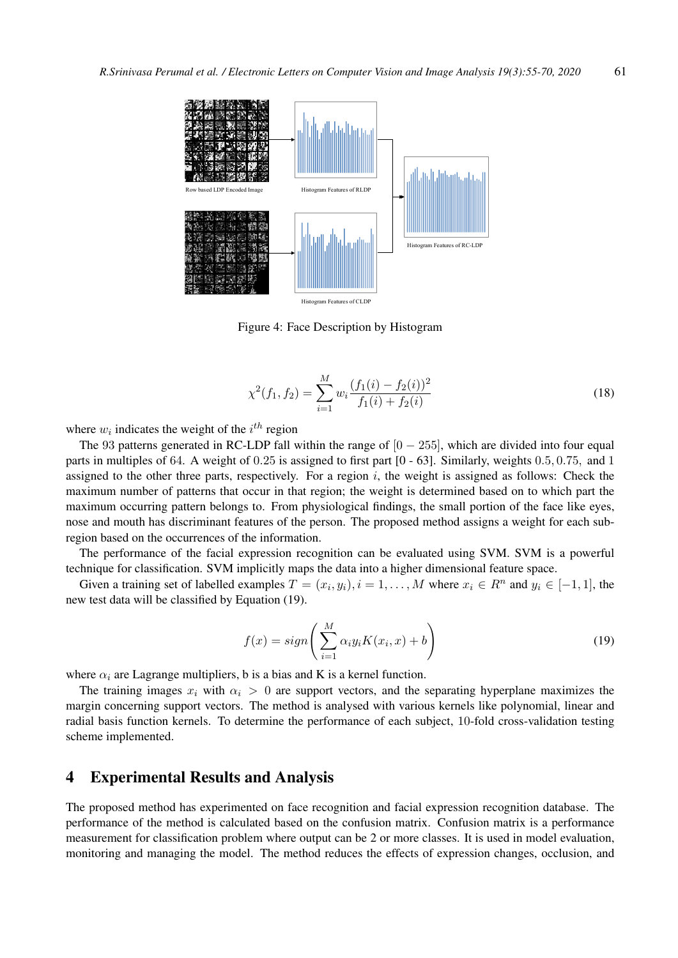

Figure 4: Face Description by Histogram

$$
\chi^2(f_1, f_2) = \sum_{i=1}^{M} w_i \frac{(f_1(i) - f_2(i))^2}{f_1(i) + f_2(i)}
$$
(18)

where  $w_i$  indicates the weight of the  $i^{th}$  region

The 93 patterns generated in RC-LDP fall within the range of  $[0 - 255]$ , which are divided into four equal parts in multiples of 64. A weight of 0.25 is assigned to first part [0 - 63]. Similarly, weights 0.5, 0.75, and 1 assigned to the other three parts, respectively. For a region  $i$ , the weight is assigned as follows: Check the maximum number of patterns that occur in that region; the weight is determined based on to which part the maximum occurring pattern belongs to. From physiological findings, the small portion of the face like eyes, nose and mouth has discriminant features of the person. The proposed method assigns a weight for each subregion based on the occurrences of the information.

The performance of the facial expression recognition can be evaluated using SVM. SVM is a powerful technique for classification. SVM implicitly maps the data into a higher dimensional feature space.

Given a training set of labelled examples  $T = (x_i, y_i), i = 1, ..., M$  where  $x_i \in R^n$  and  $y_i \in [-1, 1]$ , the new test data will be classified by Equation (19).

$$
f(x) = sign\left(\sum_{i=1}^{M} \alpha_i y_i K(x_i, x) + b\right)
$$
\n(19)

where  $\alpha_i$  are Lagrange multipliers, b is a bias and K is a kernel function.

The training images  $x_i$  with  $\alpha_i > 0$  are support vectors, and the separating hyperplane maximizes the margin concerning support vectors. The method is analysed with various kernels like polynomial, linear and radial basis function kernels. To determine the performance of each subject, 10-fold cross-validation testing scheme implemented.

## 4 Experimental Results and Analysis

The proposed method has experimented on face recognition and facial expression recognition database. The performance of the method is calculated based on the confusion matrix. Confusion matrix is a performance measurement for classification problem where output can be 2 or more classes. It is used in model evaluation, monitoring and managing the model. The method reduces the effects of expression changes, occlusion, and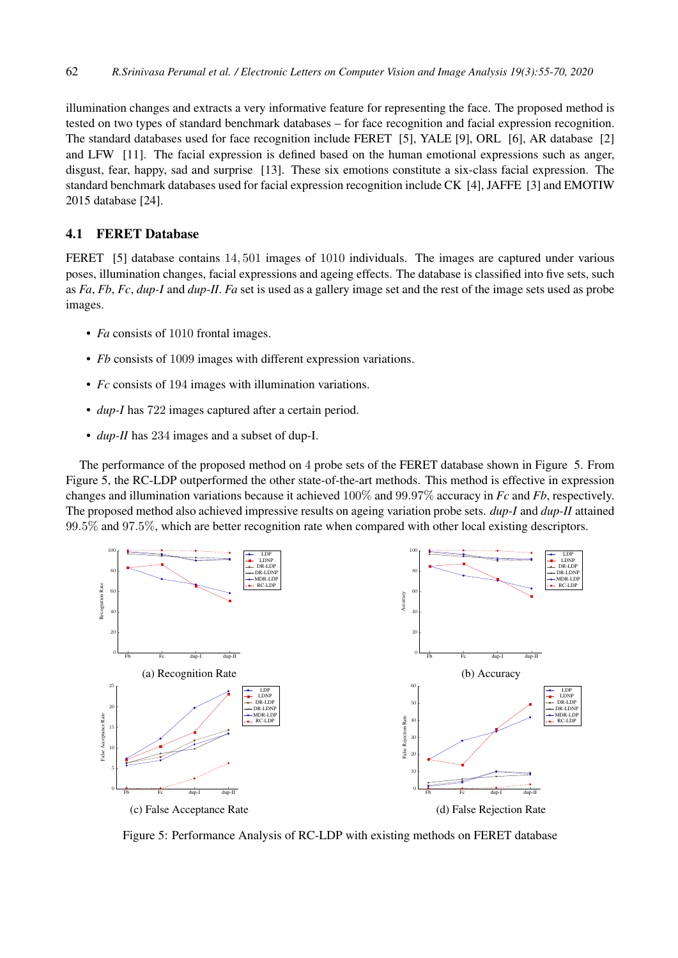illumination changes and extracts a very informative feature for representing the face. The proposed method is tested on two types of standard benchmark databases – for face recognition and facial expression recognition. The standard databases used for face recognition include FERET [5], YALE [9], ORL [6], AR database [2] and LFW [11]. The facial expression is defined based on the human emotional expressions such as anger, disgust, fear, happy, sad and surprise [13]. These six emotions constitute a six-class facial expression. The standard benchmark databases used for facial expression recognition include CK [4], JAFFE [3] and EMOTIW 2015 database [24].

## 4.1 FERET Database

FERET [5] database contains 14, 501 images of 1010 individuals. The images are captured under various poses, illumination changes, facial expressions and ageing effects. The database is classified into five sets, such as *Fa*, *Fb*, *Fc*, *dup-I* and *dup-II*. *Fa* set is used as a gallery image set and the rest of the image sets used as probe images.

- *Fa* consists of 1010 frontal images.
- *Fb* consists of 1009 images with different expression variations.
- *Fc* consists of 194 images with illumination variations.
- *dup-I* has 722 images captured after a certain period.
- *dup-II* has 234 images and a subset of dup-I.

The performance of the proposed method on 4 probe sets of the FERET database shown in Figure 5. From Figure 5, the RC-LDP outperformed the other state-of-the-art methods. This method is effective in expression changes and illumination variations because it achieved 100% and 99.97% accuracy in *Fc* and *Fb*, respectively. The proposed method also achieved impressive results on ageing variation probe sets. *dup-I* and *dup-II* attained 99.5% and 97.5%, which are better recognition rate when compared with other local existing descriptors.



Figure 5: Performance Analysis of RC-LDP with existing methods on FERET database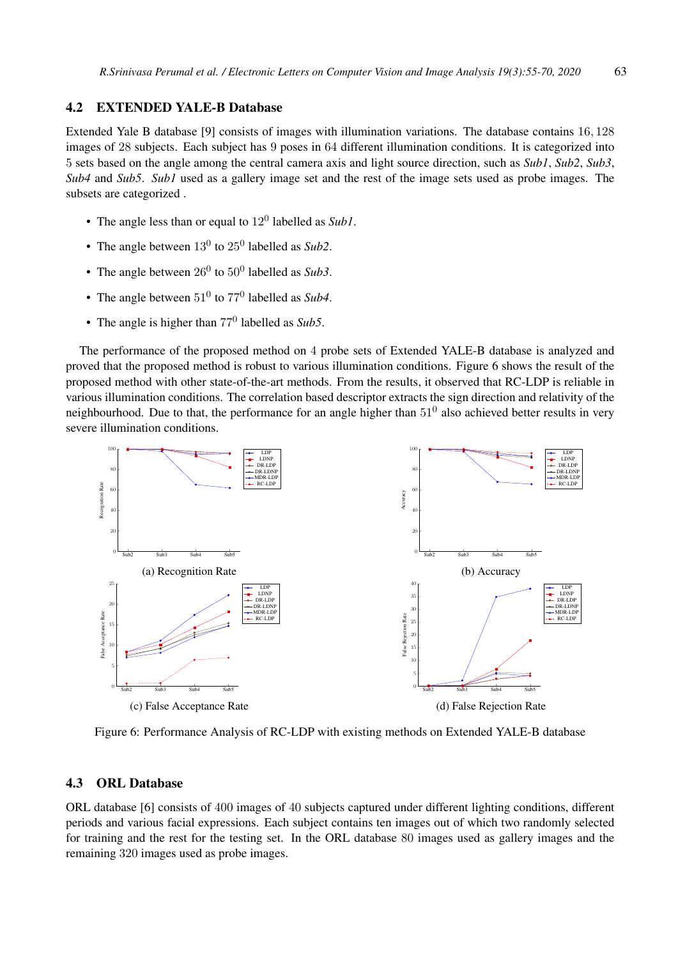### 4.2 EXTENDED YALE-B Database

Extended Yale B database [9] consists of images with illumination variations. The database contains 16, 128 images of 28 subjects. Each subject has 9 poses in 64 different illumination conditions. It is categorized into 5 sets based on the angle among the central camera axis and light source direction, such as *Sub1*, *Sub2*, *Sub3*, *Sub4* and *Sub5*. *Sub1* used as a gallery image set and the rest of the image sets used as probe images. The subsets are categorized .

- The angle less than or equal to  $12^0$  labelled as *Sub1*.
- The angle between  $13^0$  to  $25^0$  labelled as *Sub2*.
- The angle between  $26^0$  to  $50^0$  labelled as *Sub3*.
- The angle between  $51^0$  to  $77^0$  labelled as *Sub4*.
- The angle is higher than 77<sup>0</sup> labelled as *Sub5*.

The performance of the proposed method on 4 probe sets of Extended YALE-B database is analyzed and proved that the proposed method is robust to various illumination conditions. Figure 6 shows the result of the proposed method with other state-of-the-art methods. From the results, it observed that RC-LDP is reliable in various illumination conditions. The correlation based descriptor extracts the sign direction and relativity of the neighbourhood. Due to that, the performance for an angle higher than  $51^0$  also achieved better results in very severe illumination conditions.



Figure 6: Performance Analysis of RC-LDP with existing methods on Extended YALE-B database

### 4.3 ORL Database

ORL database [6] consists of 400 images of 40 subjects captured under different lighting conditions, different periods and various facial expressions. Each subject contains ten images out of which two randomly selected for training and the rest for the testing set. In the ORL database 80 images used as gallery images and the remaining 320 images used as probe images.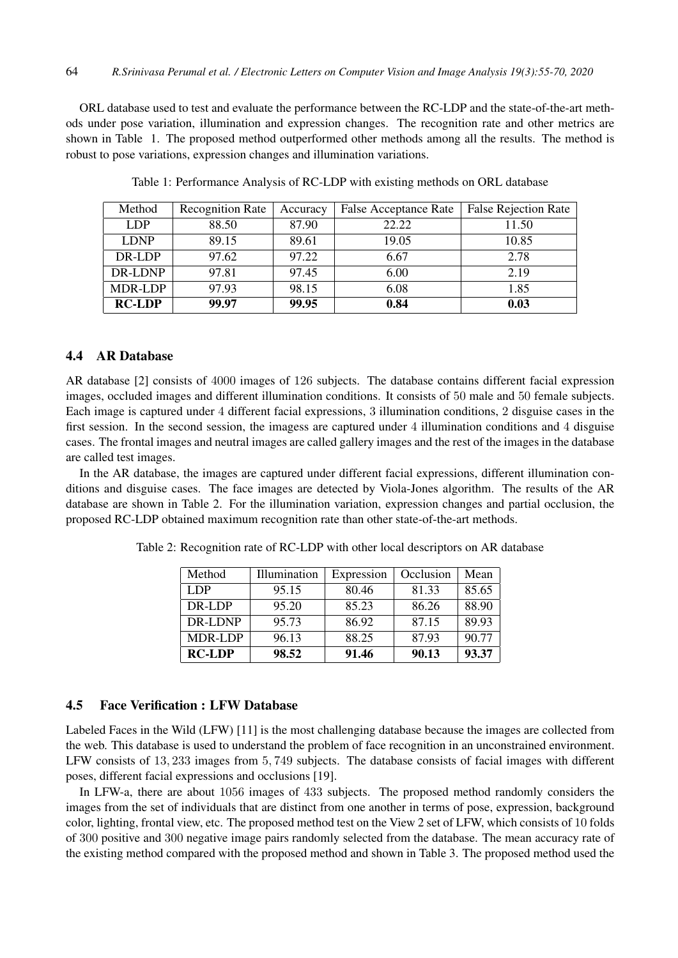ORL database used to test and evaluate the performance between the RC-LDP and the state-of-the-art methods under pose variation, illumination and expression changes. The recognition rate and other metrics are shown in Table 1. The proposed method outperformed other methods among all the results. The method is robust to pose variations, expression changes and illumination variations.

| Method        | <b>Recognition Rate</b> | Accuracy | False Acceptance Rate | <b>False Rejection Rate</b> |
|---------------|-------------------------|----------|-----------------------|-----------------------------|
| LDP           | 88.50                   | 87.90    | 22.22                 | 11.50                       |
| <b>LDNP</b>   | 89.15                   | 89.61    | 19.05                 | 10.85                       |
| DR-LDP        | 97.62                   | 97.22    | 6.67                  | 2.78                        |
| DR-LDNP       | 97.81                   | 97.45    | 6.00                  | 2.19                        |
| MDR-LDP       | 97.93                   | 98.15    | 6.08                  | 1.85                        |
| <b>RC-LDP</b> | 99.97                   | 99.95    | 0.84                  | 0.03                        |

Table 1: Performance Analysis of RC-LDP with existing methods on ORL database

## 4.4 AR Database

AR database [2] consists of 4000 images of 126 subjects. The database contains different facial expression images, occluded images and different illumination conditions. It consists of 50 male and 50 female subjects. Each image is captured under 4 different facial expressions, 3 illumination conditions, 2 disguise cases in the first session. In the second session, the imagess are captured under 4 illumination conditions and 4 disguise cases. The frontal images and neutral images are called gallery images and the rest of the images in the database are called test images.

In the AR database, the images are captured under different facial expressions, different illumination conditions and disguise cases. The face images are detected by Viola-Jones algorithm. The results of the AR database are shown in Table 2. For the illumination variation, expression changes and partial occlusion, the proposed RC-LDP obtained maximum recognition rate than other state-of-the-art methods.

| Method        | Illumination | Expression | Occlusion | Mean  |
|---------------|--------------|------------|-----------|-------|
| LDP           | 95.15        | 80.46      | 81.33     | 85.65 |
| DR-LDP        | 95.20        | 85.23      | 86.26     | 88.90 |
| DR-LDNP       | 95.73        | 86.92      | 87.15     | 89.93 |
| MDR-LDP       | 96.13        | 88.25      | 87.93     | 90.77 |
| <b>RC-LDP</b> | 98.52        | 91.46      | 90.13     | 93.37 |

Table 2: Recognition rate of RC-LDP with other local descriptors on AR database

#### 4.5 Face Verification : LFW Database

Labeled Faces in the Wild (LFW) [11] is the most challenging database because the images are collected from the web. This database is used to understand the problem of face recognition in an unconstrained environment. LFW consists of 13, 233 images from 5, 749 subjects. The database consists of facial images with different poses, different facial expressions and occlusions [19].

In LFW-a, there are about 1056 images of 433 subjects. The proposed method randomly considers the images from the set of individuals that are distinct from one another in terms of pose, expression, background color, lighting, frontal view, etc. The proposed method test on the View 2 set of LFW, which consists of 10 folds of 300 positive and 300 negative image pairs randomly selected from the database. The mean accuracy rate of the existing method compared with the proposed method and shown in Table 3. The proposed method used the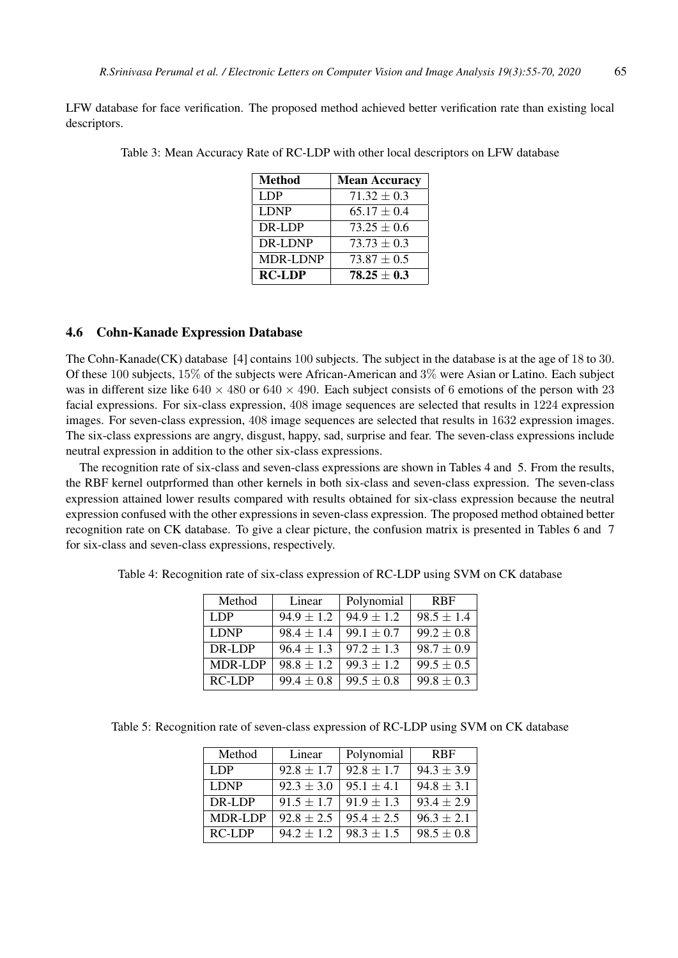LFW database for face verification. The proposed method achieved better verification rate than existing local descriptors.

| <b>Method</b>   | <b>Mean Accuracy</b> |
|-----------------|----------------------|
| <b>LDP</b>      | $71.32 \pm 0.3$      |
| <b>LDNP</b>     | $65.17 \pm 0.4$      |
| DR-LDP          | $73.25 \pm 0.6$      |
| DR-LDNP         | $73.73 \pm 0.3$      |
| <b>MDR-LDNP</b> | $73.87 \pm 0.5$      |
| <b>RC-LDP</b>   | $78.25 \pm 0.3$      |

Table 3: Mean Accuracy Rate of RC-LDP with other local descriptors on LFW database

### 4.6 Cohn-Kanade Expression Database

The Cohn-Kanade(CK) database [4] contains 100 subjects. The subject in the database is at the age of 18 to 30. Of these 100 subjects, 15% of the subjects were African-American and 3% were Asian or Latino. Each subject was in different size like  $640 \times 480$  or  $640 \times 490$ . Each subject consists of 6 emotions of the person with 23 facial expressions. For six-class expression, 408 image sequences are selected that results in 1224 expression images. For seven-class expression, 408 image sequences are selected that results in 1632 expression images. The six-class expressions are angry, disgust, happy, sad, surprise and fear. The seven-class expressions include neutral expression in addition to the other six-class expressions.

The recognition rate of six-class and seven-class expressions are shown in Tables 4 and 5. From the results, the RBF kernel outprformed than other kernels in both six-class and seven-class expression. The seven-class expression attained lower results compared with results obtained for six-class expression because the neutral expression confused with the other expressions in seven-class expression. The proposed method obtained better recognition rate on CK database. To give a clear picture, the confusion matrix is presented in Tables 6 and 7 for six-class and seven-class expressions, respectively.

| Method         | Linear         | Polynomial     | <b>RBF</b>     |
|----------------|----------------|----------------|----------------|
| LDP.           | $94.9 \pm 1.2$ | $94.9 \pm 1.2$ | $98.5 \pm 1.4$ |
| <b>LDNP</b>    | $98.4 \pm 1.4$ | $99.1 \pm 0.7$ | $99.2 \pm 0.8$ |
| DR-LDP         | $96.4 \pm 1.3$ | $97.2 \pm 1.3$ | $98.7 \pm 0.9$ |
| <b>MDR-LDP</b> | $98.8 \pm 1.2$ | $99.3 \pm 1.2$ | $99.5 \pm 0.5$ |
| <b>RC-LDP</b>  | $99.4 \pm 0.8$ | $99.5 \pm 0.8$ | $99.8 \pm 0.3$ |

Table 4: Recognition rate of six-class expression of RC-LDP using SVM on CK database

Table 5: Recognition rate of seven-class expression of RC-LDP using SVM on CK database

| Method         | Linear         | Polynomial     | <b>RBF</b>     |
|----------------|----------------|----------------|----------------|
| LDP            | $92.8 + 1.7$   | $92.8 + 1.7$   | $94.3 \pm 3.9$ |
| <b>LDNP</b>    | $92.3 \pm 3.0$ | $95.1 + 4.1$   | $94.8 + 3.1$   |
| DR-LDP         | $91.5 + 1.7$   | $91.9 + 1.3$   | $93.4 + 2.9$   |
| <b>MDR-LDP</b> | $92.8 \pm 2.5$ | $95.4 \pm 2.5$ | $96.3 + 2.1$   |
| $RC-LDP$       | $94.2 \pm 1.2$ | $98.3 \pm 1.5$ | $98.5 \pm 0.8$ |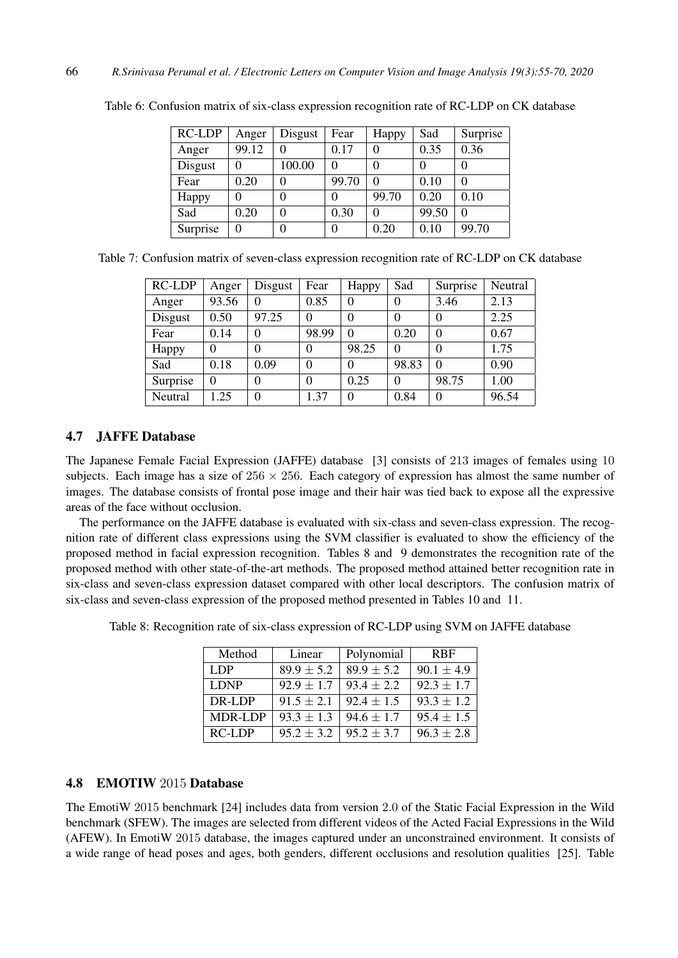| RC-LDP   | Anger | Disgust | Fear  | Happy    | Sad   | Surprise |
|----------|-------|---------|-------|----------|-------|----------|
| Anger    | 99.12 |         | 0.17  |          | 0.35  | 0.36     |
| Disgust  | 0     | 100.00  | 0     |          |       |          |
| Fear     | 0.20  |         | 99.70 | 0        | 0.10  | $\Omega$ |
| Happy    | 0     |         | 0     | 99.70    | 0.20  | 0.10     |
| Sad      | 0.20  |         | 0.30  | $\Omega$ | 99.50 | $\Omega$ |
| Surprise | 0     |         | 0     | 0.20     | 0.10  | 99.70    |

Table 6: Confusion matrix of six-class expression recognition rate of RC-LDP on CK database

|  |  |  | Table 7: Confusion matrix of seven-class expression recognition rate of RC-LDP on CK database |
|--|--|--|-----------------------------------------------------------------------------------------------|
|  |  |  |                                                                                               |

| RC-LDP   | Anger    | Disgust  | Fear     | Happy    | Sad      | Surprise | Neutral |
|----------|----------|----------|----------|----------|----------|----------|---------|
| Anger    | 93.56    | 0        | 0.85     | 0        | 0        | 3.46     | 2.13    |
| Disgust  | 0.50     | 97.25    | 0        | 0        | $\theta$ | $\theta$ | 2.25    |
| Fear     | 0.14     | $\theta$ | 98.99    | $\Omega$ | 0.20     | $\theta$ | 0.67    |
| Happy    | 0        | $\theta$ | 0        | 98.25    | $\Omega$ | $\theta$ | 1.75    |
| Sad      | 0.18     | 0.09     | $\theta$ | 0        | 98.83    | $\theta$ | 0.90    |
| Surprise | $\theta$ | 0        | $\Omega$ | 0.25     | $\theta$ | 98.75    | 1.00    |
| Neutral  | 1.25     | $\Omega$ | 1.37     | 0        | 0.84     | $\theta$ | 96.54   |

#### 4.7 JAFFE Database

The Japanese Female Facial Expression (JAFFE) database [3] consists of 213 images of females using 10 subjects. Each image has a size of  $256 \times 256$ . Each category of expression has almost the same number of images. The database consists of frontal pose image and their hair was tied back to expose all the expressive areas of the face without occlusion.

The performance on the JAFFE database is evaluated with six-class and seven-class expression. The recognition rate of different class expressions using the SVM classifier is evaluated to show the efficiency of the proposed method in facial expression recognition. Tables 8 and 9 demonstrates the recognition rate of the proposed method with other state-of-the-art methods. The proposed method attained better recognition rate in six-class and seven-class expression dataset compared with other local descriptors. The confusion matrix of six-class and seven-class expression of the proposed method presented in Tables 10 and 11.

| Method      | Linear         | Polynomial     | <b>RBF</b>     |
|-------------|----------------|----------------|----------------|
| LDP         | $89.9 \pm 5.2$ | $89.9 \pm 5.2$ | $90.1 \pm 4.9$ |
| <b>LDNP</b> | $92.9 \pm 1.7$ | $93.4 \pm 2.2$ | $92.3 \pm 1.7$ |
| DR-LDP      | $91.5 \pm 2.1$ | $92.4 \pm 1.5$ | $93.3 \pm 1.2$ |
| MDR-LDP     | $93.3 \pm 1.3$ | $94.6 \pm 1.7$ | $95.4 \pm 1.5$ |
| $RC-LDP$    | $95.2 + 3.2$   | $95.2 + 3.7$   | $96.3 + 2.8$   |

Table 8: Recognition rate of six-class expression of RC-LDP using SVM on JAFFE database

## 4.8 EMOTIW 2015 Database

The EmotiW 2015 benchmark [24] includes data from version 2.0 of the Static Facial Expression in the Wild benchmark (SFEW). The images are selected from different videos of the Acted Facial Expressions in the Wild (AFEW). In EmotiW 2015 database, the images captured under an unconstrained environment. It consists of a wide range of head poses and ages, both genders, different occlusions and resolution qualities [25]. Table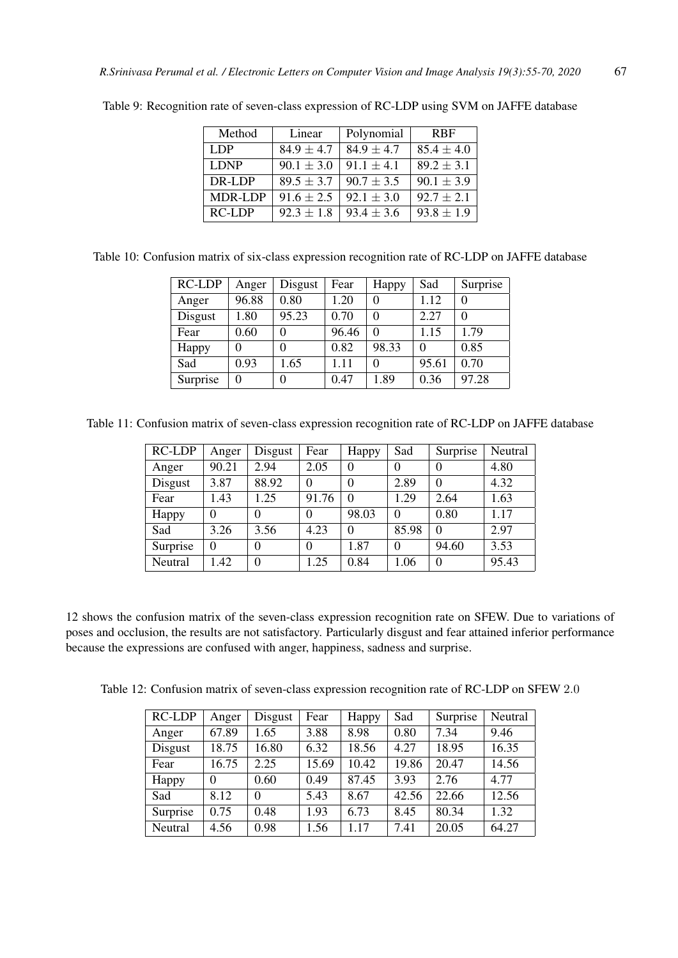| Method         | Linear         | Polynomial     | <b>RBF</b>     |
|----------------|----------------|----------------|----------------|
| LDP            | $84.9 \pm 4.7$ | $84.9 \pm 4.7$ | $85.4 \pm 4.0$ |
| <b>LDNP</b>    | $90.1 \pm 3.0$ | $91.1 \pm 4.1$ | $89.2 \pm 3.1$ |
| DR-LDP         | $89.5 \pm 3.7$ | $90.7 \pm 3.5$ | $90.1 \pm 3.9$ |
| <b>MDR-LDP</b> | $91.6 \pm 2.5$ | $92.1 \pm 3.0$ | $92.7 \pm 2.1$ |
| $RC-LDP$       | $92.3 \pm 1.8$ | $93.4 \pm 3.6$ | $93.8 \pm 1.9$ |

Table 9: Recognition rate of seven-class expression of RC-LDP using SVM on JAFFE database

| Table 10: Confusion matrix of six-class expression recognition rate of RC-LDP on JAFFE database |  |
|-------------------------------------------------------------------------------------------------|--|
|-------------------------------------------------------------------------------------------------|--|

| <b>RC-LDP</b> | Anger | Disgust | Fear  | Happy    | Sad      | Surprise |
|---------------|-------|---------|-------|----------|----------|----------|
| Anger         | 96.88 | 0.80    | 1.20  | 0        | 1.12     | $\Omega$ |
| Disgust       | 1.80  | 95.23   | 0.70  | $\Omega$ | 2.27     | $\Omega$ |
| Fear          | 0.60  |         | 96.46 | $\Omega$ | 1.15     | 1.79     |
| Happy         | 0     |         | 0.82  | 98.33    | $\Omega$ | 0.85     |
| Sad           | 0.93  | 1.65    | 1.11  | 0        | 95.61    | 0.70     |
| Surprise      | 0     |         | 0.47  | 1.89     | 0.36     | 97.28    |

Table 11: Confusion matrix of seven-class expression recognition rate of RC-LDP on JAFFE database

| <b>RC-LDP</b> | Anger    | Disgust  | Fear  | Happy    | Sad      | Surprise | Neutral |
|---------------|----------|----------|-------|----------|----------|----------|---------|
| Anger         | 90.21    | 2.94     | 2.05  | 0        | 0        | $\theta$ | 4.80    |
| Disgust       | 3.87     | 88.92    | 0     | $\theta$ | 2.89     | $\theta$ | 4.32    |
| Fear          | 1.43     | 1.25     | 91.76 | $\theta$ | 1.29     | 2.64     | 1.63    |
| Happy         | $\theta$ | 0        | 0     | 98.03    | $\Omega$ | 0.80     | 1.17    |
| Sad           | 3.26     | 3.56     | 4.23  | $\Omega$ | 85.98    | $\Omega$ | 2.97    |
| Surprise      | $\theta$ | 0        | 0     | 1.87     | $\theta$ | 94.60    | 3.53    |
| Neutral       | 1.42     | $\theta$ | 1.25  | 0.84     | 1.06     | $\theta$ | 95.43   |

12 shows the confusion matrix of the seven-class expression recognition rate on SFEW. Due to variations of poses and occlusion, the results are not satisfactory. Particularly disgust and fear attained inferior performance because the expressions are confused with anger, happiness, sadness and surprise.

Table 12: Confusion matrix of seven-class expression recognition rate of RC-LDP on SFEW 2.0

| <b>RC-LDP</b> | Anger    | Disgust  | Fear  | Happy | Sad   | Surprise | Neutral |
|---------------|----------|----------|-------|-------|-------|----------|---------|
| Anger         | 67.89    | 1.65     | 3.88  | 8.98  | 0.80  | 7.34     | 9.46    |
| Disgust       | 18.75    | 16.80    | 6.32  | 18.56 | 4.27  | 18.95    | 16.35   |
| Fear          | 16.75    | 2.25     | 15.69 | 10.42 | 19.86 | 20.47    | 14.56   |
| Happy         | $\Omega$ | 0.60     | 0.49  | 87.45 | 3.93  | 2.76     | 4.77    |
| Sad           | 8.12     | $\Omega$ | 5.43  | 8.67  | 42.56 | 22.66    | 12.56   |
| Surprise      | 0.75     | 0.48     | 1.93  | 6.73  | 8.45  | 80.34    | 1.32    |
| Neutral       | 4.56     | 0.98     | 1.56  | 1.17  | 7.41  | 20.05    | 64.27   |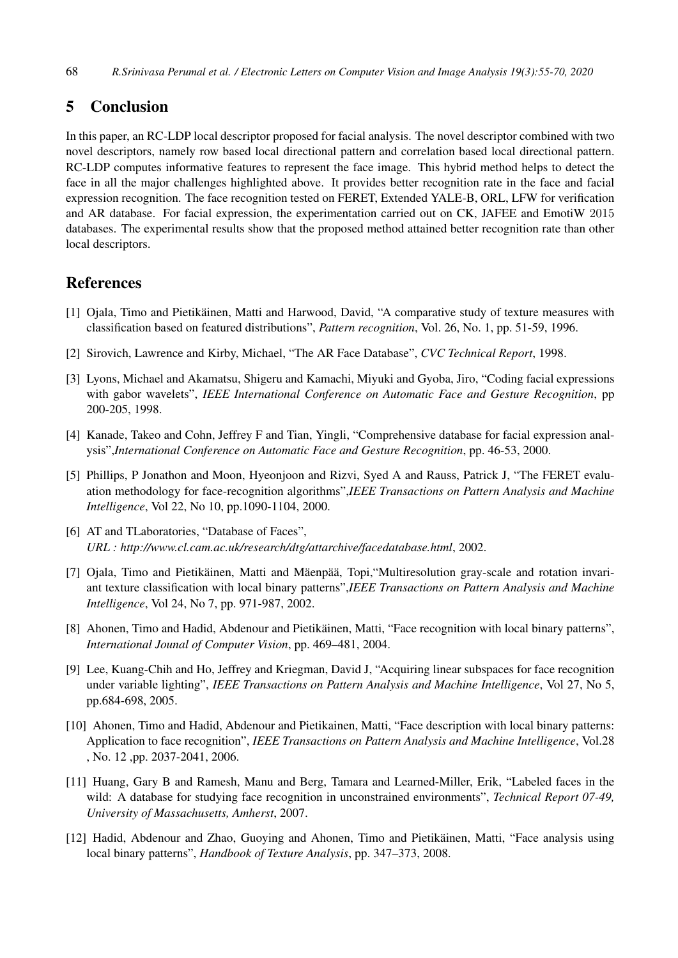## 5 Conclusion

In this paper, an RC-LDP local descriptor proposed for facial analysis. The novel descriptor combined with two novel descriptors, namely row based local directional pattern and correlation based local directional pattern. RC-LDP computes informative features to represent the face image. This hybrid method helps to detect the face in all the major challenges highlighted above. It provides better recognition rate in the face and facial expression recognition. The face recognition tested on FERET, Extended YALE-B, ORL, LFW for verification and AR database. For facial expression, the experimentation carried out on CK, JAFEE and EmotiW 2015 databases. The experimental results show that the proposed method attained better recognition rate than other local descriptors.

## References

- [1] Ojala, Timo and Pietikäinen, Matti and Harwood, David, "A comparative study of texture measures with classification based on featured distributions", *Pattern recognition*, Vol. 26, No. 1, pp. 51-59, 1996.
- [2] Sirovich, Lawrence and Kirby, Michael, "The AR Face Database", *CVC Technical Report*, 1998.
- [3] Lyons, Michael and Akamatsu, Shigeru and Kamachi, Miyuki and Gyoba, Jiro, "Coding facial expressions with gabor wavelets", *IEEE International Conference on Automatic Face and Gesture Recognition*, pp 200-205, 1998.
- [4] Kanade, Takeo and Cohn, Jeffrey F and Tian, Yingli, "Comprehensive database for facial expression analysis",*International Conference on Automatic Face and Gesture Recognition*, pp. 46-53, 2000.
- [5] Phillips, P Jonathon and Moon, Hyeonjoon and Rizvi, Syed A and Rauss, Patrick J, "The FERET evaluation methodology for face-recognition algorithms",*IEEE Transactions on Pattern Analysis and Machine Intelligence*, Vol 22, No 10, pp.1090-1104, 2000.
- [6] AT and TLaboratories, "Database of Faces", *URL : http://www.cl.cam.ac.uk/research/dtg/attarchive/facedatabase.html*, 2002.
- [7] Ojala, Timo and Pietikäinen, Matti and Mäenpää, Topi, "Multiresolution gray-scale and rotation invariant texture classification with local binary patterns",*IEEE Transactions on Pattern Analysis and Machine Intelligence*, Vol 24, No 7, pp. 971-987, 2002.
- [8] Ahonen, Timo and Hadid, Abdenour and Pietikäinen, Matti, "Face recognition with local binary patterns", *International Jounal of Computer Vision*, pp. 469–481, 2004.
- [9] Lee, Kuang-Chih and Ho, Jeffrey and Kriegman, David J, "Acquiring linear subspaces for face recognition under variable lighting", *IEEE Transactions on Pattern Analysis and Machine Intelligence*, Vol 27, No 5, pp.684-698, 2005.
- [10] Ahonen, Timo and Hadid, Abdenour and Pietikainen, Matti, "Face description with local binary patterns: Application to face recognition", *IEEE Transactions on Pattern Analysis and Machine Intelligence*, Vol.28 , No. 12 ,pp. 2037-2041, 2006.
- [11] Huang, Gary B and Ramesh, Manu and Berg, Tamara and Learned-Miller, Erik, "Labeled faces in the wild: A database for studying face recognition in unconstrained environments", *Technical Report 07-49, University of Massachusetts, Amherst*, 2007.
- [12] Hadid, Abdenour and Zhao, Guoying and Ahonen, Timo and Pietikäinen, Matti, "Face analysis using local binary patterns", *Handbook of Texture Analysis*, pp. 347–373, 2008.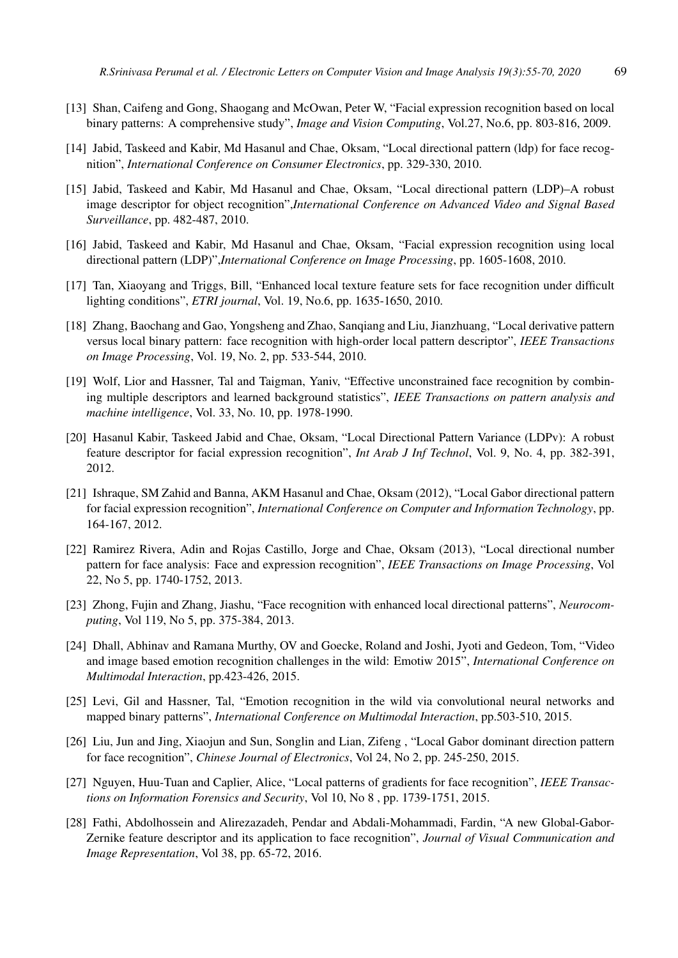- [13] Shan, Caifeng and Gong, Shaogang and McOwan, Peter W, "Facial expression recognition based on local binary patterns: A comprehensive study", *Image and Vision Computing*, Vol.27, No.6, pp. 803-816, 2009.
- [14] Jabid, Taskeed and Kabir, Md Hasanul and Chae, Oksam, "Local directional pattern (ldp) for face recognition", *International Conference on Consumer Electronics*, pp. 329-330, 2010.
- [15] Jabid, Taskeed and Kabir, Md Hasanul and Chae, Oksam, "Local directional pattern (LDP)–A robust image descriptor for object recognition",*International Conference on Advanced Video and Signal Based Surveillance*, pp. 482-487, 2010.
- [16] Jabid, Taskeed and Kabir, Md Hasanul and Chae, Oksam, "Facial expression recognition using local directional pattern (LDP)",*International Conference on Image Processing*, pp. 1605-1608, 2010.
- [17] Tan, Xiaoyang and Triggs, Bill, "Enhanced local texture feature sets for face recognition under difficult lighting conditions", *ETRI journal*, Vol. 19, No.6, pp. 1635-1650, 2010.
- [18] Zhang, Baochang and Gao, Yongsheng and Zhao, Sanqiang and Liu, Jianzhuang, "Local derivative pattern versus local binary pattern: face recognition with high-order local pattern descriptor", *IEEE Transactions on Image Processing*, Vol. 19, No. 2, pp. 533-544, 2010.
- [19] Wolf, Lior and Hassner, Tal and Taigman, Yaniv, "Effective unconstrained face recognition by combining multiple descriptors and learned background statistics", *IEEE Transactions on pattern analysis and machine intelligence*, Vol. 33, No. 10, pp. 1978-1990.
- [20] Hasanul Kabir, Taskeed Jabid and Chae, Oksam, "Local Directional Pattern Variance (LDPv): A robust feature descriptor for facial expression recognition", *Int Arab J Inf Technol*, Vol. 9, No. 4, pp. 382-391, 2012.
- [21] Ishraque, SM Zahid and Banna, AKM Hasanul and Chae, Oksam (2012), "Local Gabor directional pattern for facial expression recognition", *International Conference on Computer and Information Technology*, pp. 164-167, 2012.
- [22] Ramirez Rivera, Adin and Rojas Castillo, Jorge and Chae, Oksam (2013), "Local directional number pattern for face analysis: Face and expression recognition", *IEEE Transactions on Image Processing*, Vol 22, No 5, pp. 1740-1752, 2013.
- [23] Zhong, Fujin and Zhang, Jiashu, "Face recognition with enhanced local directional patterns", *Neurocomputing*, Vol 119, No 5, pp. 375-384, 2013.
- [24] Dhall, Abhinav and Ramana Murthy, OV and Goecke, Roland and Joshi, Jyoti and Gedeon, Tom, "Video and image based emotion recognition challenges in the wild: Emotiw 2015", *International Conference on Multimodal Interaction*, pp.423-426, 2015.
- [25] Levi, Gil and Hassner, Tal, "Emotion recognition in the wild via convolutional neural networks and mapped binary patterns", *International Conference on Multimodal Interaction*, pp.503-510, 2015.
- [26] Liu, Jun and Jing, Xiaojun and Sun, Songlin and Lian, Zifeng, "Local Gabor dominant direction pattern for face recognition", *Chinese Journal of Electronics*, Vol 24, No 2, pp. 245-250, 2015.
- [27] Nguyen, Huu-Tuan and Caplier, Alice, "Local patterns of gradients for face recognition", *IEEE Transactions on Information Forensics and Security*, Vol 10, No 8 , pp. 1739-1751, 2015.
- [28] Fathi, Abdolhossein and Alirezazadeh, Pendar and Abdali-Mohammadi, Fardin, "A new Global-Gabor-Zernike feature descriptor and its application to face recognition", *Journal of Visual Communication and Image Representation*, Vol 38, pp. 65-72, 2016.